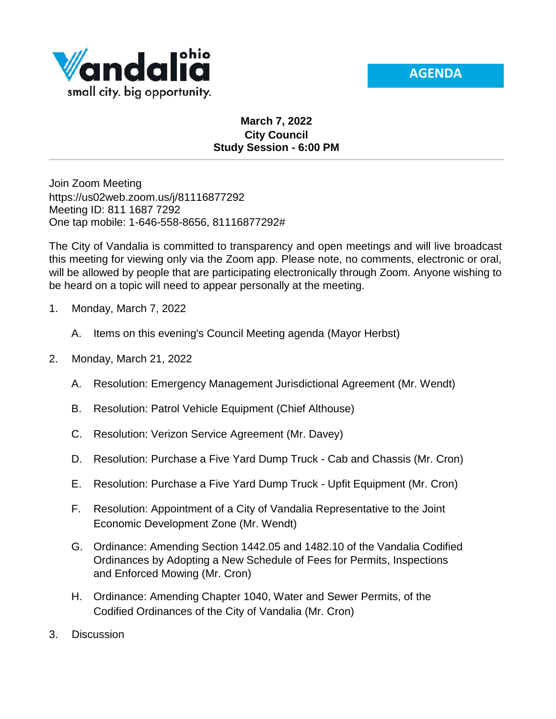



## **March 7, 2022 City Council Study Session - 6:00 PM**

Join Zoom Meeting https://us02web.zoom.us/j/81116877292 Meeting ID: 811 1687 7292 One tap mobile: 1-646-558-8656, 81116877292#

The City of Vandalia is committed to transparency and open meetings and will live broadcast this meeting for viewing only via the Zoom app. Please note, no comments, electronic or oral, will be allowed by people that are participating electronically through Zoom. Anyone wishing to be heard on a topic will need to appear personally at the meeting.

- 1. Monday, March 7, 2022
	- A. Items on this evening's Council Meeting agenda (Mayor Herbst)
- 2. Monday, March 21, 2022
	- A. Resolution: Emergency Management Jurisdictional Agreement (Mr. Wendt)
	- B. Resolution: Patrol Vehicle Equipment (Chief Althouse)
	- C. Resolution: Verizon Service Agreement (Mr. Davey)
	- D. Resolution: Purchase a Five Yard Dump Truck Cab and Chassis (Mr. Cron)
	- E. Resolution: Purchase a Five Yard Dump Truck Upfit Equipment (Mr. Cron)
	- F. Resolution: Appointment of a City of Vandalia Representative to the Joint Economic Development Zone (Mr. Wendt)
	- G. Ordinance: Amending Section 1442.05 and 1482.10 of the Vandalia Codified Ordinances by Adopting a New Schedule of Fees for Permits, Inspections and Enforced Mowing (Mr. Cron)
	- H. Ordinance: Amending Chapter 1040, Water and Sewer Permits, of the Codified Ordinances of the City of Vandalia (Mr. Cron)
- 3. Discussion